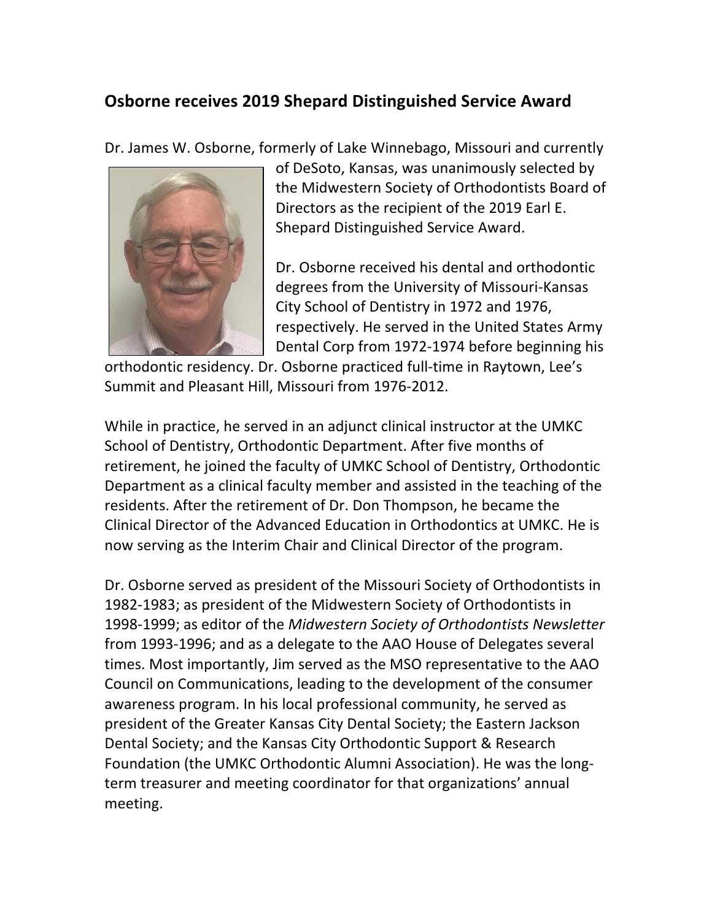## **Osborne receives 2019 Shepard Distinguished Service Award**

Dr. James W. Osborne, formerly of Lake Winnebago, Missouri and currently



of DeSoto, Kansas, was unanimously selected by the Midwestern Society of Orthodontists Board of Directors as the recipient of the 2019 Earl E. Shepard Distinguished Service Award.

Dr. Osborne received his dental and orthodontic degrees from the University of Missouri-Kansas City School of Dentistry in 1972 and 1976, respectively. He served in the United States Army Dental Corp from 1972-1974 before beginning his

orthodontic residency. Dr. Osborne practiced full-time in Raytown, Lee's Summit and Pleasant Hill, Missouri from 1976-2012.

While in practice, he served in an adjunct clinical instructor at the UMKC School of Dentistry, Orthodontic Department. After five months of retirement, he joined the faculty of UMKC School of Dentistry, Orthodontic Department as a clinical faculty member and assisted in the teaching of the residents. After the retirement of Dr. Don Thompson, he became the Clinical Director of the Advanced Education in Orthodontics at UMKC. He is now serving as the Interim Chair and Clinical Director of the program.

Dr. Osborne served as president of the Missouri Society of Orthodontists in 1982-1983; as president of the Midwestern Society of Orthodontists in 1998-1999; as editor of the Midwestern Society of Orthodontists Newsletter from 1993-1996; and as a delegate to the AAO House of Delegates several times. Most importantly, Jim served as the MSO representative to the AAO Council on Communications, leading to the development of the consumer awareness program. In his local professional community, he served as president of the Greater Kansas City Dental Society; the Eastern Jackson Dental Society; and the Kansas City Orthodontic Support & Research Foundation (the UMKC Orthodontic Alumni Association). He was the longterm treasurer and meeting coordinator for that organizations' annual meeting.